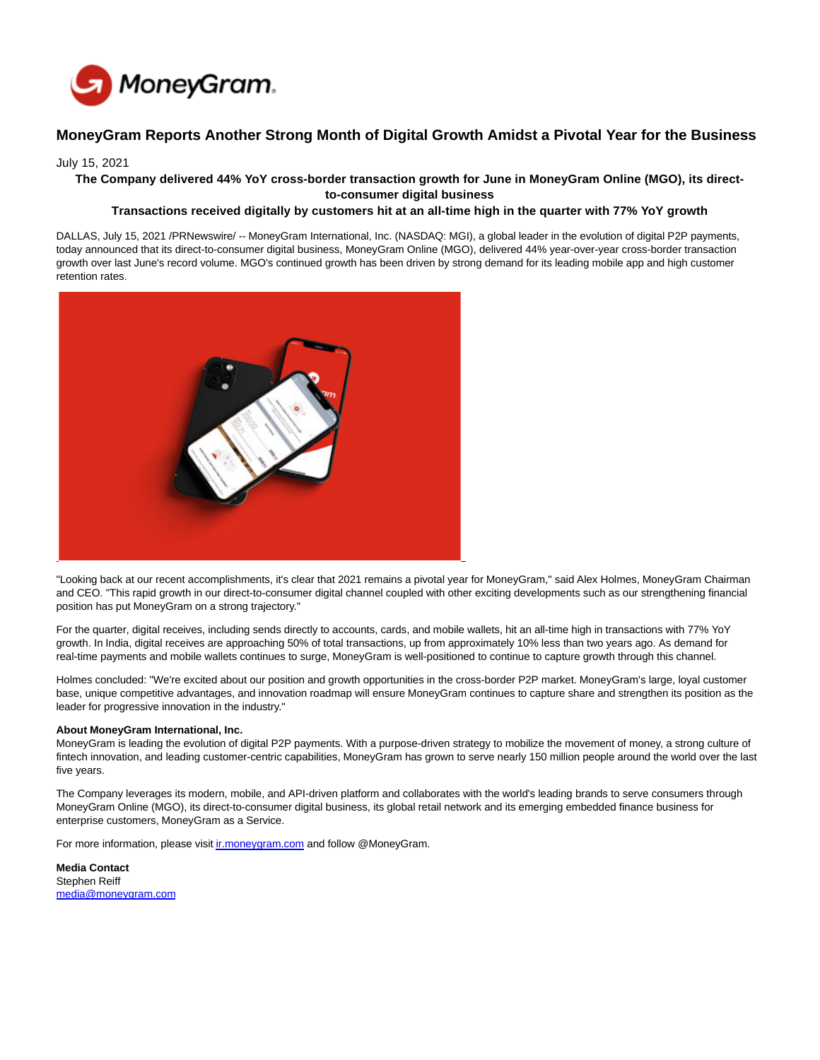

# **MoneyGram Reports Another Strong Month of Digital Growth Amidst a Pivotal Year for the Business**

## July 15, 2021

### **The Company delivered 44% YoY cross-border transaction growth for June in MoneyGram Online (MGO), its directto-consumer digital business**

# **Transactions received digitally by customers hit at an all-time high in the quarter with 77% YoY growth**

DALLAS, July 15, 2021 /PRNewswire/ -- MoneyGram International, Inc. (NASDAQ: MGI), a global leader in the evolution of digital P2P payments, today announced that its direct-to-consumer digital business, MoneyGram Online (MGO), delivered 44% year-over-year cross-border transaction growth over last June's record volume. MGO's continued growth has been driven by strong demand for its leading mobile app and high customer retention rates.



"Looking back at our recent accomplishments, it's clear that 2021 remains a pivotal year for MoneyGram," said Alex Holmes, MoneyGram Chairman and CEO. "This rapid growth in our direct-to-consumer digital channel coupled with other exciting developments such as our strengthening financial position has put MoneyGram on a strong trajectory."

For the quarter, digital receives, including sends directly to accounts, cards, and mobile wallets, hit an all-time high in transactions with 77% YoY growth. In India, digital receives are approaching 50% of total transactions, up from approximately 10% less than two years ago. As demand for real-time payments and mobile wallets continues to surge, MoneyGram is well-positioned to continue to capture growth through this channel.

Holmes concluded: "We're excited about our position and growth opportunities in the cross-border P2P market. MoneyGram's large, loyal customer base, unique competitive advantages, and innovation roadmap will ensure MoneyGram continues to capture share and strengthen its position as the leader for progressive innovation in the industry."

#### **About MoneyGram International, Inc.**

MoneyGram is leading the evolution of digital P2P payments. With a purpose-driven strategy to mobilize the movement of money, a strong culture of fintech innovation, and leading customer-centric capabilities, MoneyGram has grown to serve nearly 150 million people around the world over the last five years.

The Company leverages its modern, mobile, and API-driven platform and collaborates with the world's leading brands to serve consumers through MoneyGram Online (MGO), its direct-to-consumer digital business, its global retail network and its emerging embedded finance business for enterprise customers, MoneyGram as a Service.

For more information, please visit *ir.moneygram.com* and follow @MoneyGram.

**Media Contact** Stephen Reiff [media@moneygram.com](mailto:media@moneygram.com)